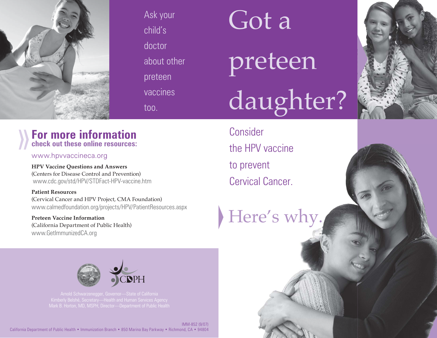

Ask your child's doctor about other preteen vaccines too.

## Got a

# preteen daughter?

### **For more information check out these online resources:**

www.hpvvaccineca.org

**HPV Vaccine Questions and Answers**  (Centers for Disease Control and Prevention) www.cdc.gov/std/HPV/STDFact-HPV-vaccine.htm

**Patient Resources** (Cervical Cancer and HPV Project, CMA Foundation) www.calmedfoundation.org/projects/HPV/PatientResources.aspx

**Preteen Vaccine Information** (California Department of Public Health) www.GetImmunizedCA.org

**Consider** the HPV vaccine to prevent Cervical Cancer.

Here's why.



 California Department of Public Health • Immunization Branch • 850 Marina Bay Parkway • Richmond, CA • 94804 IMM-852 (9/07)